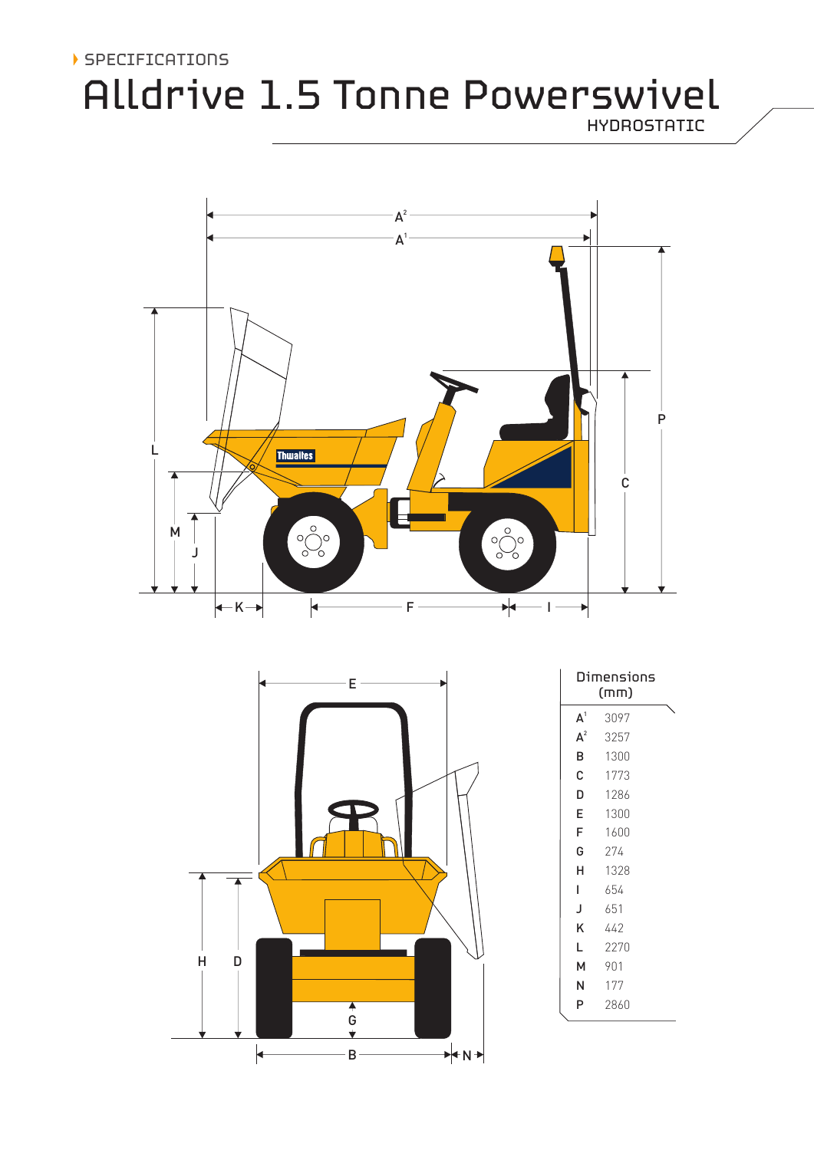## SPECIFICATIONS

# Alldrive 1.5 Tonne Powerswivel

HYDROSTATIC





| Dimensions<br>(mm) |      |  |
|--------------------|------|--|
| A <sup>1</sup>     | 3097 |  |
| $A^2$              | 3257 |  |
| в                  | 1300 |  |
| C                  | 1773 |  |
| D                  | 1286 |  |
| E                  | 1300 |  |
| F                  | 1600 |  |
| G                  | 274  |  |
| н                  | 1328 |  |
| L                  | 654  |  |
| J                  | 651  |  |
| κ                  | 442  |  |
| L                  | 2270 |  |
| м                  | 901  |  |
| N                  | 177  |  |
| P                  | 2860 |  |